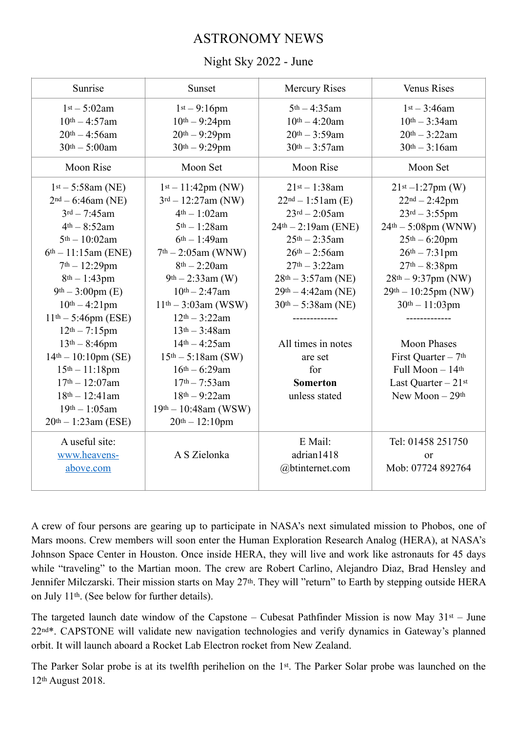## ASTRONOMY NEWS

## Night Sky 2022 - June

| Sunrise               | Sunset                  | <b>Mercury Rises</b>  | <b>Venus Rises</b>               |
|-----------------------|-------------------------|-----------------------|----------------------------------|
| $1st - 5:02am$        | $1st - 9:16pm$          | $5th - 4:35am$        | $1st - 3:46am$                   |
| $10^{th} - 4:57$ am   | $10^{th} - 9:24$ pm     | $10^{th} - 4:20$ am   | $10^{th} - 3:34$ am              |
| $20^{th} - 4:56$ am   | $20th - 9:29pm$         | $20th - 3:59am$       | $20th - 3:22am$                  |
| $30th - 5:00am$       | $30th - 9:29$ pm        | $30th - 3:57am$       | $30th - 3:16am$                  |
| <b>Moon Rise</b>      | Moon Set                | <b>Moon Rise</b>      | Moon Set                         |
| $1st - 5:58am$ (NE)   | $1st - 11:42pm (NW)$    | $21^{st} - 1:38$ am   | $21st - 1:27pm (W)$              |
| $2nd - 6:46am$ (NE)   | $3rd - 12:27am$ (NW)    | $22nd - 1:51am$ (E)   | $22nd - 2:42pm$                  |
| $3^{rd} - 7:45$ am    | $4th - 1:02am$          | $23rd - 2:05am$       | $23rd - 3:55pm$                  |
| $4th - 8:52am$        | $5th - 1:28$ am         | $24th - 2:19am$ (ENE) | $24th - 5:08pm$ (WNW)            |
| $5th - 10:02$ am      | $6th - 1:49$ am         | $25th - 2:35am$       | $25th - 6:20pm$                  |
| $6th - 11:15am$ (ENE) | $7th - 2:05am$ (WNW)    | $26th - 2:56am$       | $26th - 7:31$ pm                 |
| $7th - 12:29$ pm      | $8th - 2:20$ am         | $27th - 3:22am$       | $27th - 8:38pm$                  |
| $8th - 1:43pm$        | $9th - 2:33$ am (W)     | $28th - 3:57am$ (NE)  | $28th - 9:37pm (NW)$             |
| $9th - 3:00pm$ (E)    | $10^{th} - 2:47$ am     | $29th - 4:42am$ (NE)  | $29th - 10:25pm (NW)$            |
| $10^{th} - 4:21$ pm   | $11th - 3:03am$ (WSW)   | $30th - 5:38am$ (NE)  | $30th - 11:03pm$                 |
| $11th - 5:46pm$ (ESE) | $12th - 3:22am$         |                       | -------------                    |
| $12th - 7:15pm$       | $13th - 3:48am$         |                       |                                  |
| $13th - 8:46pm$       | $14th - 4:25am$         | All times in notes    | <b>Moon Phases</b>               |
| $14th - 10:10pm$ (SE) | $15th - 5:18am$ (SW)    | are set               | First Quarter - 7 <sup>th</sup>  |
| $15th - 11:18pm$      | $16th - 6:29am$         | for                   | Full Moon - 14th                 |
| $17th - 12:07$ am     | $17th - 7:53am$         | <b>Somerton</b>       | Last Quarter $-21$ <sup>st</sup> |
| $18th - 12:41$ am     | $18th - 9:22am$         | unless stated         | New Moon $-29$ <sup>th</sup>     |
| $19th - 1:05am$       | $19th - 10:48$ am (WSW) |                       |                                  |
| $20th - 1:23am$ (ESE) | $20th - 12:10pm$        |                       |                                  |
| A useful site:        |                         | E Mail:               | Tel: 01458 251750                |
| www.heavens-          | A S Zielonka            | adrian1418            | or                               |
| above.com             |                         | @btinternet.com       | Mob: 07724 892764                |
|                       |                         |                       |                                  |

A crew of four persons are gearing up to participate in NASA's next simulated mission to Phobos, one of Mars moons. Crew members will soon enter the Human Exploration Research Analog (HERA), at NASA's Johnson Space Center in Houston. Once inside HERA, they will live and work like astronauts for 45 days while "traveling" to the Martian moon. The crew are Robert Carlino, Alejandro Diaz, Brad Hensley and Jennifer Milczarski. Their mission starts on May 27<sup>th</sup>. They will "return" to Earth by stepping outside HERA on July 11th. (See below for further details).

The targeted launch date window of the Capstone – Cubesat Pathfinder Mission is now May  $31st - June$ 22nd\*. CAPSTONE will validate new navigation technologies and verify dynamics in Gateway's planned orbit. It will launch aboard a Rocket Lab Electron rocket from New Zealand.

The Parker Solar probe is at its twelfth perihelion on the 1st. The Parker Solar probe was launched on the 12th August 2018.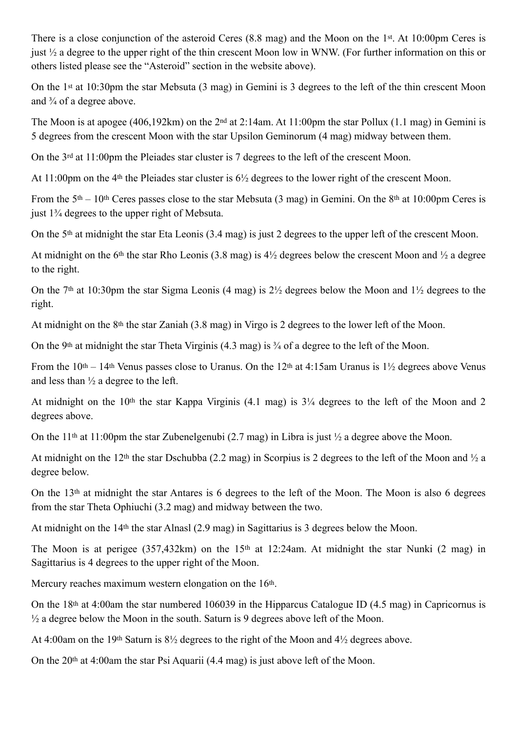There is a close conjunction of the asteroid Ceres (8.8 mag) and the Moon on the 1st. At 10:00pm Ceres is just ½ a degree to the upper right of the thin crescent Moon low in WNW. (For further information on this or others listed please see the "Asteroid" section in the website above).

On the 1st at 10:30pm the star Mebsuta (3 mag) in Gemini is 3 degrees to the left of the thin crescent Moon and ¾ of a degree above.

The Moon is at apogee (406,192km) on the 2nd at 2:14am. At 11:00pm the star Pollux (1.1 mag) in Gemini is 5 degrees from the crescent Moon with the star Upsilon Geminorum (4 mag) midway between them.

On the 3rd at 11:00pm the Pleiades star cluster is 7 degrees to the left of the crescent Moon.

At 11:00pm on the 4th the Pleiades star cluster is 6½ degrees to the lower right of the crescent Moon.

From the  $5<sup>th</sup> - 10<sup>th</sup>$  Ceres passes close to the star Mebsuta (3 mag) in Gemini. On the 8<sup>th</sup> at 10:00pm Ceres is just 1¾ degrees to the upper right of Mebsuta.

On the 5th at midnight the star Eta Leonis (3.4 mag) is just 2 degrees to the upper left of the crescent Moon.

At midnight on the 6<sup>th</sup> the star Rho Leonis (3.8 mag) is  $4\frac{1}{2}$  degrees below the crescent Moon and  $\frac{1}{2}$  a degree to the right.

On the 7<sup>th</sup> at 10:30pm the star Sigma Leonis (4 mag) is  $2\frac{1}{2}$  degrees below the Moon and  $1\frac{1}{2}$  degrees to the right.

At midnight on the 8<sup>th</sup> the star Zaniah (3.8 mag) in Virgo is 2 degrees to the lower left of the Moon.

On the 9th at midnight the star Theta Virginis (4.3 mag) is ¾ of a degree to the left of the Moon.

From the 10<sup>th</sup> – 14<sup>th</sup> Venus passes close to Uranus. On the 12<sup>th</sup> at 4:15am Uranus is 1<sup>1</sup>/<sub>2</sub> degrees above Venus and less than ½ a degree to the left.

At midnight on the 10th the star Kappa Virginis (4.1 mag) is 3¼ degrees to the left of the Moon and 2 degrees above.

On the 11<sup>th</sup> at 11:00pm the star Zubenelgenubi (2.7 mag) in Libra is just  $\frac{1}{2}$  a degree above the Moon.

At midnight on the 12th the star Dschubba (2.2 mag) in Scorpius is 2 degrees to the left of the Moon and ½ a degree below.

On the 13th at midnight the star Antares is 6 degrees to the left of the Moon. The Moon is also 6 degrees from the star Theta Ophiuchi (3.2 mag) and midway between the two.

At midnight on the 14th the star Alnasl (2.9 mag) in Sagittarius is 3 degrees below the Moon.

The Moon is at perigee (357,432km) on the 15<sup>th</sup> at 12:24am. At midnight the star Nunki (2 mag) in Sagittarius is 4 degrees to the upper right of the Moon.

Mercury reaches maximum western elongation on the 16<sup>th</sup>.

On the 18th at 4:00am the star numbered 106039 in the Hipparcus Catalogue ID (4.5 mag) in Capricornus is ½ a degree below the Moon in the south. Saturn is 9 degrees above left of the Moon.

At 4:00am on the 19th Saturn is 8½ degrees to the right of the Moon and 4½ degrees above.

On the 20th at 4:00am the star Psi Aquarii (4.4 mag) is just above left of the Moon.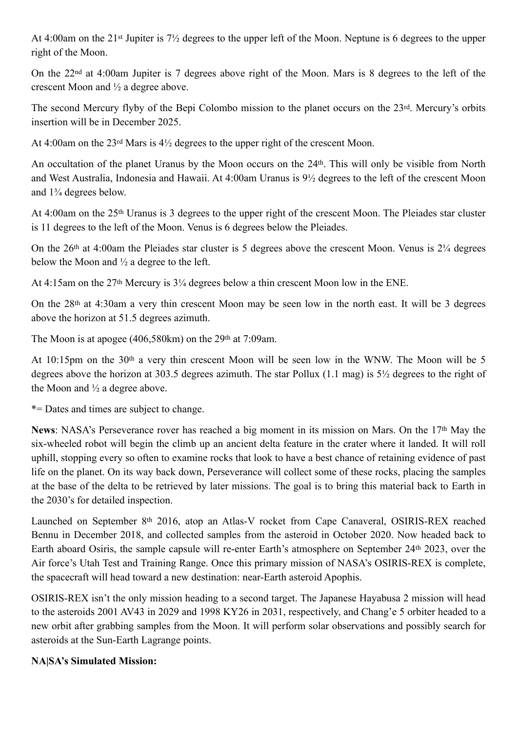At 4:00am on the 21st Jupiter is 7½ degrees to the upper left of the Moon. Neptune is 6 degrees to the upper right of the Moon.

On the 22nd at 4:00am Jupiter is 7 degrees above right of the Moon. Mars is 8 degrees to the left of the crescent Moon and ½ a degree above.

The second Mercury flyby of the Bepi Colombo mission to the planet occurs on the 23rd. Mercury's orbits insertion will be in December 2025.

At 4:00am on the 23rd Mars is 4½ degrees to the upper right of the crescent Moon.

An occultation of the planet Uranus by the Moon occurs on the 24th. This will only be visible from North and West Australia, Indonesia and Hawaii. At 4:00am Uranus is 9½ degrees to the left of the crescent Moon and 1¾ degrees below.

At 4:00am on the 25th Uranus is 3 degrees to the upper right of the crescent Moon. The Pleiades star cluster is 11 degrees to the left of the Moon. Venus is 6 degrees below the Pleiades.

On the 26th at 4:00am the Pleiades star cluster is 5 degrees above the crescent Moon. Venus is 2¼ degrees below the Moon and  $\frac{1}{2}$  a degree to the left.

At 4:15am on the 27th Mercury is 3¼ degrees below a thin crescent Moon low in the ENE.

On the 28th at 4:30am a very thin crescent Moon may be seen low in the north east. It will be 3 degrees above the horizon at 51.5 degrees azimuth.

The Moon is at apogee (406,580km) on the 29<sup>th</sup> at 7:09am.

At 10:15pm on the 30th a very thin crescent Moon will be seen low in the WNW. The Moon will be 5 degrees above the horizon at 303.5 degrees azimuth. The star Pollux (1.1 mag) is 5½ degrees to the right of the Moon and ½ a degree above.

\*= Dates and times are subject to change.

**News**: NASA's Perseverance rover has reached a big moment in its mission on Mars. On the 17th May the six-wheeled robot will begin the climb up an ancient delta feature in the crater where it landed. It will roll uphill, stopping every so often to examine rocks that look to have a best chance of retaining evidence of past life on the planet. On its way back down, Perseverance will collect some of these rocks, placing the samples at the base of the delta to be retrieved by later missions. The goal is to bring this material back to Earth in the 2030's for detailed inspection.

Launched on September 8th 2016, atop an Atlas-V rocket from Cape Canaveral, OSIRIS-REX reached Bennu in December 2018, and collected samples from the asteroid in October 2020. Now headed back to Earth aboard Osiris, the sample capsule will re-enter Earth's atmosphere on September 24th 2023, over the Air force's Utah Test and Training Range. Once this primary mission of NASA's OSIRIS-REX is complete, the spacecraft will head toward a new destination: near-Earth asteroid Apophis.

OSIRIS-REX isn't the only mission heading to a second target. The Japanese Hayabusa 2 mission will head to the asteroids 2001 AV43 in 2029 and 1998 KY26 in 2031, respectively, and Chang'e 5 orbiter headed to a new orbit after grabbing samples from the Moon. It will perform solar observations and possibly search for asteroids at the Sun-Earth Lagrange points.

## **NA|SA's Simulated Mission:**